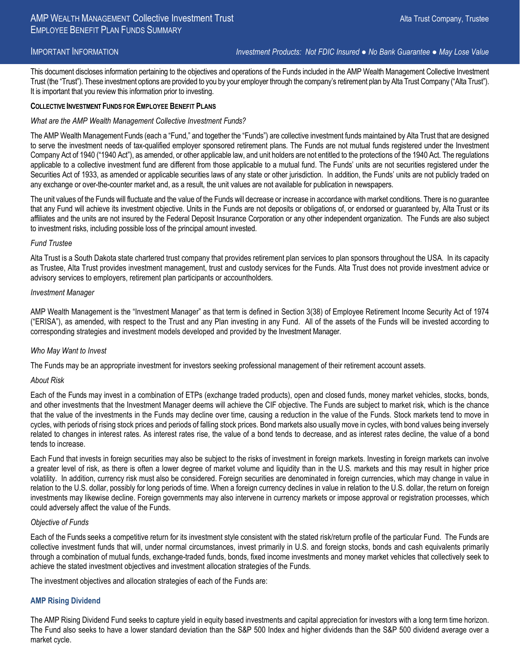IMPORTANT INFORMATION *Investment Products: Not FDIC Insured ● No Bank Guarantee ● May Lose Value*

This document discloses information pertaining to the objectives and operations of the Funds included in the AMP Wealth Management Collective Investment Trust (the "Trust"). These investment options are provided to you by your employer through the company's retirement plan by Alta Trust Company ("Alta Trust"). It is important that you review this information prior to investing.

## **COLLECTIVE INVESTMENT FUNDS FOR EMPLOYEE BENEFIT PLANS**

## *What are the AMP Wealth Management Collective Investment Funds?*

The AMP Wealth Management Funds (each a "Fund," and together the "Funds") are collective investment funds maintained by Alta Trust that are designed to serve the investment needs of tax-qualified employer sponsored retirement plans. The Funds are not mutual funds registered under the Investment Company Act of 1940 ("1940 Act"), as amended, or other applicable law, and unit holders are not entitled to the protections of the 1940 Act. The regulations applicable to a collective investment fund are different from those applicable to a mutual fund. The Funds' units are not securities registered under the Securities Act of 1933, as amended or applicable securities laws of any state or other jurisdiction. In addition, the Funds' units are not publicly traded on any exchange or over-the-counter market and, as a result, the unit values are not available for publication in newspapers.

The unit values of the Funds will fluctuate and the value of the Funds will decrease or increase in accordance with market conditions. There is no guarantee that any Fund will achieve its investment objective. Units in the Funds are not deposits or obligations of, or endorsed or guaranteed by, Alta Trust or its affiliates and the units are not insured by the Federal Deposit Insurance Corporation or any other independent organization. The Funds are also subject to investment risks, including possible loss of the principal amount invested.

## *Fund Trustee*

Alta Trust is a South Dakota state chartered trust company that provides retirement plan services to plan sponsors throughout the USA. In its capacity as Trustee, Alta Trust provides investment management, trust and custody services for the Funds. Alta Trust does not provide investment advice or advisory services to employers, retirement plan participants or accountholders.

#### *Investment Manager*

AMP Wealth Management is the "Investment Manager" as that term is defined in Section 3(38) of Employee Retirement Income Security Act of 1974 ("ERISA"), as amended, with respect to the Trust and any Plan investing in any Fund. All of the assets of the Funds will be invested according to corresponding strategies and investment models developed and provided by the Investment Manager.

## *Who May Want to Invest*

The Funds may be an appropriate investment for investors seeking professional management of their retirement account assets.

## *About Risk*

Each of the Funds may invest in a combination of ETPs (exchange traded products), open and closed funds, money market vehicles, stocks, bonds, and other investments that the Investment Manager deems will achieve the CIF objective. The Funds are subject to market risk, which is the chance that the value of the investments in the Funds may decline over time, causing a reduction in the value of the Funds. Stock markets tend to move in cycles, with periods of rising stock prices and periods of falling stock prices. Bond markets also usually move in cycles, with bond values being inversely related to changes in interest rates. As interest rates rise, the value of a bond tends to decrease, and as interest rates decline, the value of a bond tends to increase.

Each Fund that invests in foreign securities may also be subject to the risks of investment in foreign markets. Investing in foreign markets can involve a greater level of risk, as there is often a lower degree of market volume and liquidity than in the U.S. markets and this may result in higher price volatility. In addition, currency risk must also be considered. Foreign securities are denominated in foreign currencies, which may change in value in relation to the U.S. dollar, possibly for long periods of time. When a foreign currency declines in value in relation to the U.S. dollar, the return on foreign investments may likewise decline. Foreign governments may also intervene in currency markets or impose approval or registration processes, which could adversely affect the value of the Funds.

## *Objective of Funds*

Each of the Funds seeks a competitive return for its investment style consistent with the stated risk/return profile of the particular Fund. The Funds are collective investment funds that will, under normal circumstances, invest primarily in U.S. and foreign stocks, bonds and cash equivalents primarily through a combination of mutual funds, exchange-traded funds, bonds, fixed income investments and money market vehicles that collectively seek to achieve the stated investment objectives and investment allocation strategies of the Funds.

The investment objectives and allocation strategies of each of the Funds are:

## **AMP Rising Dividend**

The AMP Rising Dividend Fund seeks to capture yield in equity based investments and capital appreciation for investors with a long term time horizon. The Fund also seeks to have a lower standard deviation than the S&P 500 Index and higher dividends than the S&P 500 dividend average over a market cycle.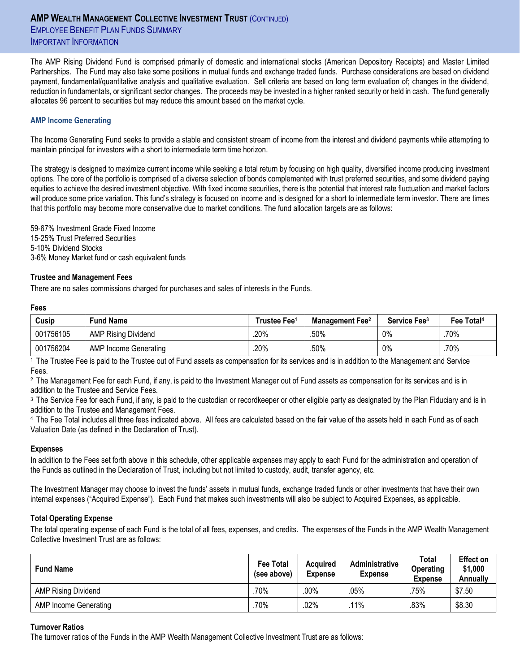# **AMP WEALTH MANAGEMENT COLLECTIVE INVESTMENT TRUST** (CONTINUED) **EMPLOYEE BENEFIT PLAN FUNDS SUMMARY** IMPORTANT INFORMATION

The AMP Rising Dividend Fund is comprised primarily of domestic and international stocks (American Depository Receipts) and Master Limited Partnerships. The Fund may also take some positions in mutual funds and exchange traded funds. Purchase considerations are based on dividend payment, fundamental/quantitative analysis and qualitative evaluation. Sell criteria are based on long term evaluation of; changes in the dividend, reduction in fundamentals, or significant sector changes. The proceeds may be invested in a higher ranked security or held in cash. The fund generally allocates 96 percent to securities but may reduce this amount based on the market cycle.

# **AMP Income Generating**

The Income Generating Fund seeks to provide a stable and consistent stream of income from the interest and dividend payments while attempting to maintain principal for investors with a short to intermediate term time horizon.

The strategy is designed to maximize current income while seeking a total return by focusing on high quality, diversified income producing investment options. The core of the portfolio is comprised of a diverse selection of bonds complemented with trust preferred securities, and some dividend paying equities to achieve the desired investment objective. With fixed income securities, there is the potential that interest rate fluctuation and market factors will produce some price variation. This fund's strategy is focused on income and is designed for a short to intermediate term investor. There are times that this portfolio may become more conservative due to market conditions. The fund allocation targets are as follows:

59-67% Investment Grade Fixed Income 15-25% Trust Preferred Securities 5-10% Dividend Stocks 3-6% Money Market fund or cash equivalent funds

# **Trustee and Management Fees**

There are no sales commissions charged for purchases and sales of interests in the Funds.

| i<br>۰.<br>۰,<br>×<br>×<br>۰.<br>v |
|------------------------------------|
|                                    |

| Cusip     | Fund Name                    | Trustee Fee <sup>1</sup> | <b>Management Fee</b> <sup>2</sup> | Service Fee <sup>3</sup> | Fee Total <sup>4</sup> |
|-----------|------------------------------|--------------------------|------------------------------------|--------------------------|------------------------|
| 001756105 | <b>AMP Rising Dividend</b>   | .20%                     | .50%                               | 0%                       | 70%                    |
| 001756204 | <b>AMP Income Generating</b> | .20%                     | .50%                               | 0%                       | .70%                   |

1 The Trustee Fee is paid to the Trustee out of Fund assets as compensation for its services and is in addition to the Management and Service Fees.

2 The Management Fee for each Fund, if any, is paid to the Investment Manager out of Fund assets as compensation for its services and is in addition to the Trustee and Service Fees.

<sup>3</sup> The Service Fee for each Fund, if any, is paid to the custodian or recordkeeper or other eligible party as designated by the Plan Fiduciary and is in addition to the Trustee and Management Fees.

4 The Fee Total includes all three fees indicated above. All fees are calculated based on the fair value of the assets held in each Fund as of each Valuation Date (as defined in the Declaration of Trust).

# **Expenses**

In addition to the Fees set forth above in this schedule, other applicable expenses may apply to each Fund for the administration and operation of the Funds as outlined in the Declaration of Trust, including but not limited to custody, audit, transfer agency, etc.

The Investment Manager may choose to invest the funds' assets in mutual funds, exchange traded funds or other investments that have their own internal expenses ("Acquired Expense"). Each Fund that makes such investments will also be subject to Acquired Expenses, as applicable.

# **Total Operating Expense**

The total operating expense of each Fund is the total of all fees, expenses, and credits. The expenses of the Funds in the AMP Wealth Management Collective Investment Trust are as follows:

| <b>Fund Name</b>             | <b>Fee Total</b><br>(see above) | <b>Acauired</b><br><b>Expense</b> | Administrative<br><b>Expense</b> | Total<br><b>Operating</b><br><b>Expense</b> | <b>Effect on</b><br>\$1,000<br><b>Annually</b> |
|------------------------------|---------------------------------|-----------------------------------|----------------------------------|---------------------------------------------|------------------------------------------------|
| <b>AMP Rising Dividend</b>   | 70%                             | .00%                              | .05%                             | 75%                                         | \$7.50                                         |
| <b>AMP Income Generating</b> | 70%                             | .02%                              | .11%                             | .83%                                        | \$8.30                                         |

# **Turnover Ratios**

The turnover ratios of the Funds in the AMP Wealth Management Collective Investment Trust are as follows: